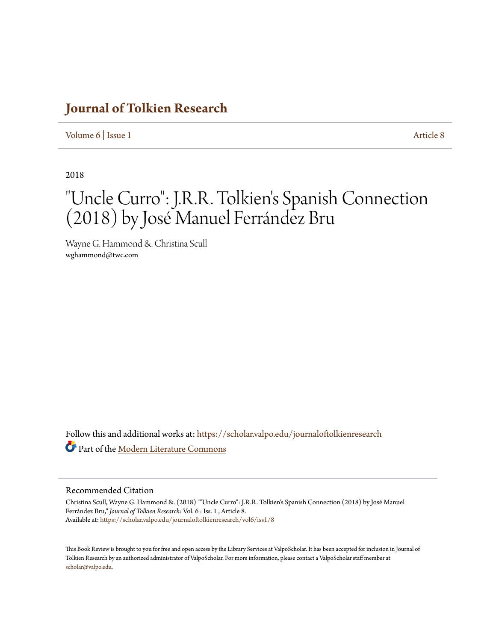## **[Journal of Tolkien Research](https://scholar.valpo.edu/journaloftolkienresearch?utm_source=scholar.valpo.edu%2Fjournaloftolkienresearch%2Fvol6%2Fiss1%2F8&utm_medium=PDF&utm_campaign=PDFCoverPages)**

[Volume 6](https://scholar.valpo.edu/journaloftolkienresearch/vol6?utm_source=scholar.valpo.edu%2Fjournaloftolkienresearch%2Fvol6%2Fiss1%2F8&utm_medium=PDF&utm_campaign=PDFCoverPages) | [Issue 1](https://scholar.valpo.edu/journaloftolkienresearch/vol6/iss1?utm_source=scholar.valpo.edu%2Fjournaloftolkienresearch%2Fvol6%2Fiss1%2F8&utm_medium=PDF&utm_campaign=PDFCoverPages) [Article 8](https://scholar.valpo.edu/journaloftolkienresearch/vol6/iss1/8?utm_source=scholar.valpo.edu%2Fjournaloftolkienresearch%2Fvol6%2Fiss1%2F8&utm_medium=PDF&utm_campaign=PDFCoverPages)

2018

## "Uncle Curro": J.R.R. Tolkien 's Spanish Connection (2018) by José Manuel Ferrández Bru

Wayne G. Hammond &. Christina Scull wghammond@twc.com

Follow this and additional works at: [https://scholar.valpo.edu/journaloftolkienresearch](https://scholar.valpo.edu/journaloftolkienresearch?utm_source=scholar.valpo.edu%2Fjournaloftolkienresearch%2Fvol6%2Fiss1%2F8&utm_medium=PDF&utm_campaign=PDFCoverPages) Part of the [Modern Literature Commons](http://network.bepress.com/hgg/discipline/1050?utm_source=scholar.valpo.edu%2Fjournaloftolkienresearch%2Fvol6%2Fiss1%2F8&utm_medium=PDF&utm_campaign=PDFCoverPages)

## Recommended Citation

Christina Scull, Wayne G. Hammond &. (2018) ""Uncle Curro": J.R.R. Tolkien's Spanish Connection (2018) by José Manuel Ferrández Bru," *Journal of Tolkien Research*: Vol. 6 : Iss. 1 , Article 8. Available at: [https://scholar.valpo.edu/journaloftolkienresearch/vol6/iss1/8](https://scholar.valpo.edu/journaloftolkienresearch/vol6/iss1/8?utm_source=scholar.valpo.edu%2Fjournaloftolkienresearch%2Fvol6%2Fiss1%2F8&utm_medium=PDF&utm_campaign=PDFCoverPages)

This Book Review is brought to you for free and open access by the Library Services at ValpoScholar. It has been accepted for inclusion in Journal of Tolkien Research by an authorized administrator of ValpoScholar. For more information, please contact a ValpoScholar staff member at [scholar@valpo.edu.](mailto:scholar@valpo.edu)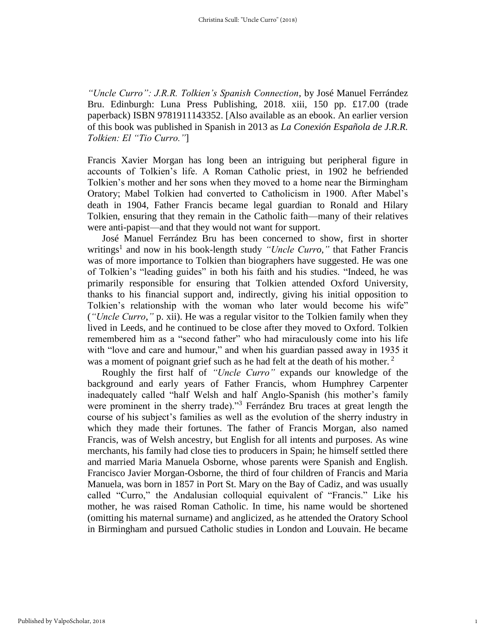*"Uncle Curro": J.R.R. Tolkien's Spanish Connection*, by José Manuel Ferrández Bru. Edinburgh: Luna Press Publishing, 2018. xiii, 150 pp. £17.00 (trade paperback) ISBN 9781911143352. [Also available as an ebook. An earlier version of this book was published in Spanish in 2013 as *La Conexión Española de J.R.R. Tolkien: El "Tio Curro."*]

Francis Xavier Morgan has long been an intriguing but peripheral figure in accounts of Tolkien's life. A Roman Catholic priest, in 1902 he befriended Tolkien's mother and her sons when they moved to a home near the Birmingham Oratory; Mabel Tolkien had converted to Catholicism in 1900. After Mabel's death in 1904, Father Francis became legal guardian to Ronald and Hilary Tolkien, ensuring that they remain in the Catholic faith—many of their relatives were anti-papist—and that they would not want for support.

José Manuel Ferrández Bru has been concerned to show, first in shorter writings<sup>1</sup> and now in his book-length study "Uncle Curro," that Father Francis was of more importance to Tolkien than biographers have suggested. He was one of Tolkien's "leading guides" in both his faith and his studies. "Indeed, he was primarily responsible for ensuring that Tolkien attended Oxford University, thanks to his financial support and, indirectly, giving his initial opposition to Tolkien's relationship with the woman who later would become his wife" (*"Uncle Curro*,*"* p. xii). He was a regular visitor to the Tolkien family when they lived in Leeds, and he continued to be close after they moved to Oxford. Tolkien remembered him as a "second father" who had miraculously come into his life with "love and care and humour," and when his guardian passed away in 1935 it was a moment of poignant grief such as he had felt at the death of his mother.<sup>2</sup>

Roughly the first half of *"Uncle Curro"* expands our knowledge of the background and early years of Father Francis, whom Humphrey Carpenter inadequately called "half Welsh and half Anglo-Spanish (his mother's family were prominent in the sherry trade)."<sup>3</sup> Ferrández Bru traces at great length the course of his subject's families as well as the evolution of the sherry industry in which they made their fortunes. The father of Francis Morgan, also named Francis, was of Welsh ancestry, but English for all intents and purposes. As wine merchants, his family had close ties to producers in Spain; he himself settled there and married Maria Manuela Osborne, whose parents were Spanish and English. Francisco Javier Morgan-Osborne, the third of four children of Francis and Maria Manuela, was born in 1857 in Port St. Mary on the Bay of Cadiz, and was usually called "Curro," the Andalusian colloquial equivalent of "Francis." Like his mother, he was raised Roman Catholic. In time, his name would be shortened (omitting his maternal surname) and anglicized, as he attended the Oratory School in Birmingham and pursued Catholic studies in London and Louvain. He became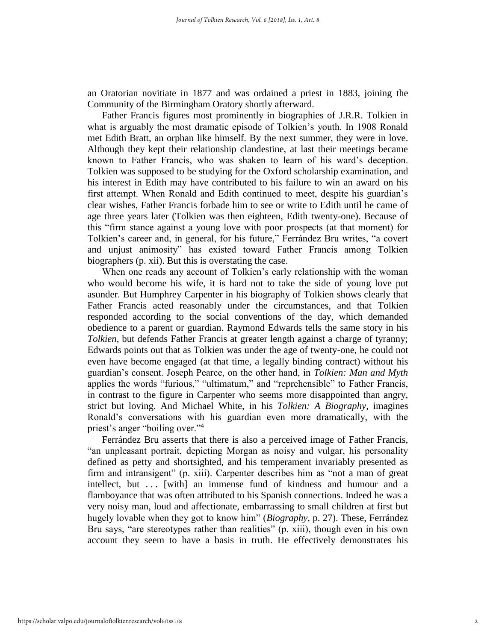an Oratorian novitiate in 1877 and was ordained a priest in 1883, joining the Community of the Birmingham Oratory shortly afterward.

Father Francis figures most prominently in biographies of J.R.R. Tolkien in what is arguably the most dramatic episode of Tolkien's youth. In 1908 Ronald met Edith Bratt, an orphan like himself. By the next summer, they were in love. Although they kept their relationship clandestine, at last their meetings became known to Father Francis, who was shaken to learn of his ward's deception. Tolkien was supposed to be studying for the Oxford scholarship examination, and his interest in Edith may have contributed to his failure to win an award on his first attempt. When Ronald and Edith continued to meet, despite his guardian's clear wishes, Father Francis forbade him to see or write to Edith until he came of age three years later (Tolkien was then eighteen, Edith twenty-one). Because of this "firm stance against a young love with poor prospects (at that moment) for Tolkien's career and, in general, for his future," Ferrández Bru writes, "a covert and unjust animosity" has existed toward Father Francis among Tolkien biographers (p. xii). But this is overstating the case.

When one reads any account of Tolkien's early relationship with the woman who would become his wife, it is hard not to take the side of young love put asunder. But Humphrey Carpenter in his biography of Tolkien shows clearly that Father Francis acted reasonably under the circumstances, and that Tolkien responded according to the social conventions of the day, which demanded obedience to a parent or guardian. Raymond Edwards tells the same story in his *Tolkien*, but defends Father Francis at greater length against a charge of tyranny; Edwards points out that as Tolkien was under the age of twenty-one, he could not even have become engaged (at that time, a legally binding contract) without his guardian's consent. Joseph Pearce, on the other hand, in *Tolkien: Man and Myth* applies the words "furious," "ultimatum," and "reprehensible" to Father Francis, in contrast to the figure in Carpenter who seems more disappointed than angry, strict but loving. And Michael White, in his *Tolkien: A Biography*, imagines Ronald's conversations with his guardian even more dramatically, with the priest's anger "boiling over."<sup>4</sup>

Ferrández Bru asserts that there is also a perceived image of Father Francis, "an unpleasant portrait, depicting Morgan as noisy and vulgar, his personality defined as petty and shortsighted, and his temperament invariably presented as firm and intransigent" (p. xiii). Carpenter describes him as "not a man of great intellect, but . . . [with] an immense fund of kindness and humour and a flamboyance that was often attributed to his Spanish connections. Indeed he was a very noisy man, loud and affectionate, embarrassing to small children at first but hugely lovable when they got to know him" (*Biography*, p. 27). These, Ferrández Bru says, "are stereotypes rather than realities" (p. xiii), though even in his own account they seem to have a basis in truth. He effectively demonstrates his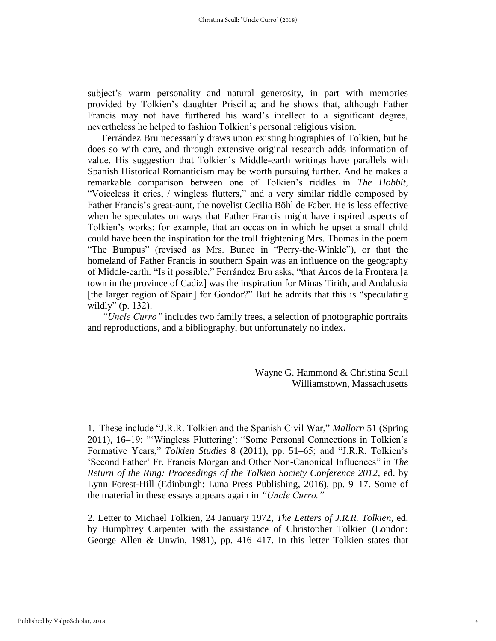subject's warm personality and natural generosity, in part with memories provided by Tolkien's daughter Priscilla; and he shows that, although Father Francis may not have furthered his ward's intellect to a significant degree, nevertheless he helped to fashion Tolkien's personal religious vision.

Ferrández Bru necessarily draws upon existing biographies of Tolkien, but he does so with care, and through extensive original research adds information of value. His suggestion that Tolkien's Middle-earth writings have parallels with Spanish Historical Romanticism may be worth pursuing further. And he makes a remarkable comparison between one of Tolkien's riddles in *The Hobbit*, "Voiceless it cries, / wingless flutters," and a very similar riddle composed by Father Francis's great-aunt, the novelist Cecilia Böhl de Faber. He is less effective when he speculates on ways that Father Francis might have inspired aspects of Tolkien's works: for example, that an occasion in which he upset a small child could have been the inspiration for the troll frightening Mrs. Thomas in the poem "The Bumpus" (revised as Mrs. Bunce in "Perry-the-Winkle"), or that the homeland of Father Francis in southern Spain was an influence on the geography of Middle-earth. "Is it possible," Ferrández Bru asks, "that Arcos de la Frontera [a town in the province of Cadiz] was the inspiration for Minas Tirith, and Andalusia [the larger region of Spain] for Gondor?" But he admits that this is "speculating wildly" (p. 132).

*"Uncle Curro"* includes two family trees, a selection of photographic portraits and reproductions, and a bibliography, but unfortunately no index.

> Wayne G. Hammond & Christina Scull Williamstown, Massachusetts

1. These include "J.R.R. Tolkien and the Spanish Civil War," *Mallorn* 51 (Spring 2011), 16–19; "'Wingless Fluttering': "Some Personal Connections in Tolkien's Formative Years," *Tolkien Studies* 8 (2011), pp. 51–65; and "J.R.R. Tolkien's 'Second Father' Fr. Francis Morgan and Other Non-Canonical Influences" in *The Return of the Ring: Proceedings of the Tolkien Society Conference 2012*, ed. by Lynn Forest-Hill (Edinburgh: Luna Press Publishing, 2016), pp. 9–17. Some of the material in these essays appears again in *"Uncle Curro."*

2. Letter to Michael Tolkien, 24 January 1972, *The Letters of J.R.R. Tolkien*, ed. by Humphrey Carpenter with the assistance of Christopher Tolkien (London: George Allen & Unwin, 1981), pp. 416–417. In this letter Tolkien states that